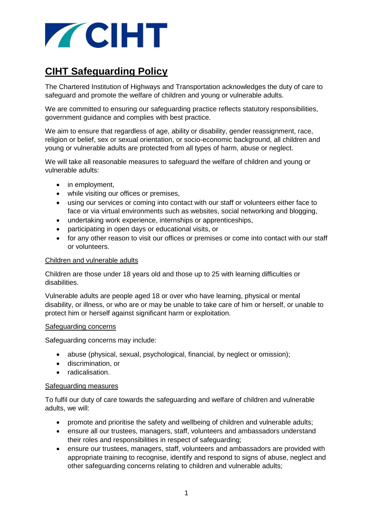

# **CIHT Safeguarding Policy**

The Chartered Institution of Highways and Transportation acknowledges the duty of care to safeguard and promote the welfare of children and young or vulnerable adults.

We are committed to ensuring our safeguarding practice reflects statutory responsibilities, government guidance and complies with best practice.

We aim to ensure that regardless of age, ability or disability, gender reassignment, race, religion or belief, sex or sexual orientation, or socio-economic background, all children and young or vulnerable adults are protected from all types of harm, abuse or neglect.

We will take all reasonable measures to safeguard the welfare of children and young or vulnerable adults:

- in employment,
- while visiting our offices or premises,
- using our services or coming into contact with our staff or volunteers either face to face or via virtual environments such as websites, social networking and blogging,
- undertaking work experience, internships or apprenticeships,
- participating in open days or educational visits, or
- for any other reason to visit our offices or premises or come into contact with our staff or volunteers.

## Children and vulnerable adults

Children are those under 18 years old and those up to 25 with learning difficulties or disabilities.

Vulnerable adults are people aged 18 or over who have learning, physical or mental disability, or illness, or who are or may be unable to take care of him or herself, or unable to protect him or herself against significant harm or exploitation.

#### Safeguarding concerns

Safeguarding concerns may include:

- abuse (physical, sexual, psychological, financial, by neglect or omission);
- discrimination, or
- radicalisation.

#### Safeguarding measures

To fulfil our duty of care towards the safeguarding and welfare of children and vulnerable adults, we will:

- promote and prioritise the safety and wellbeing of children and vulnerable adults;
- ensure all our trustees, managers, staff, volunteers and ambassadors understand their roles and responsibilities in respect of safeguarding;
- ensure our trustees, managers, staff, volunteers and ambassadors are provided with appropriate training to recognise, identify and respond to signs of abuse, neglect and other safeguarding concerns relating to children and vulnerable adults;